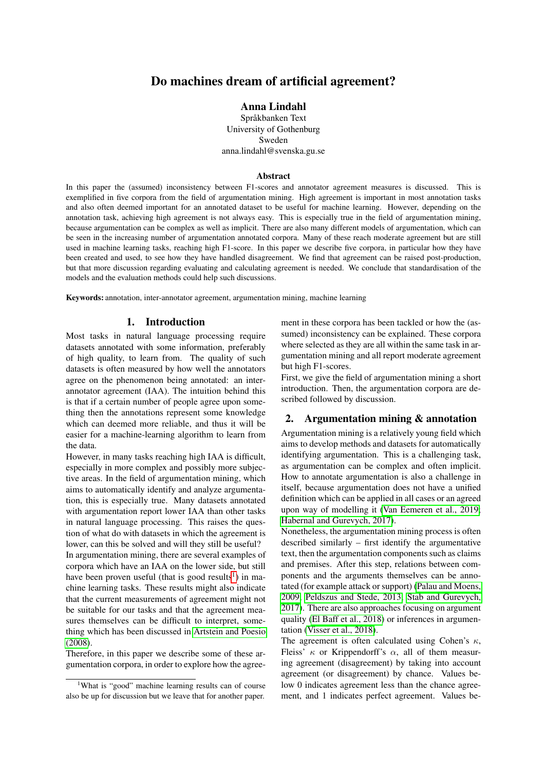# Do machines dream of artificial agreement?

## Anna Lindahl

Språkbanken Text University of Gothenburg Sweden anna.lindahl@svenska.gu.se

### Abstract

In this paper the (assumed) inconsistency between F1-scores and annotator agreement measures is discussed. This is exemplified in five corpora from the field of argumentation mining. High agreement is important in most annotation tasks and also often deemed important for an annotated dataset to be useful for machine learning. However, depending on the annotation task, achieving high agreement is not always easy. This is especially true in the field of argumentation mining, because argumentation can be complex as well as implicit. There are also many different models of argumentation, which can be seen in the increasing number of argumentation annotated corpora. Many of these reach moderate agreement but are still used in machine learning tasks, reaching high F1-score. In this paper we describe five corpora, in particular how they have been created and used, to see how they have handled disagreement. We find that agreement can be raised post-production, but that more discussion regarding evaluating and calculating agreement is needed. We conclude that standardisation of the models and the evaluation methods could help such discussions.

Keywords: annotation, inter-annotator agreement, argumentation mining, machine learning

### 1. Introduction

Most tasks in natural language processing require datasets annotated with some information, preferably of high quality, to learn from. The quality of such datasets is often measured by how well the annotators agree on the phenomenon being annotated: an interannotator agreement (IAA). The intuition behind this is that if a certain number of people agree upon something then the annotations represent some knowledge which can deemed more reliable, and thus it will be easier for a machine-learning algorithm to learn from the data.

However, in many tasks reaching high IAA is difficult, especially in more complex and possibly more subjective areas. In the field of argumentation mining, which aims to automatically identify and analyze argumentation, this is especially true. Many datasets annotated with argumentation report lower IAA than other tasks in natural language processing. This raises the question of what do with datasets in which the agreement is lower, can this be solved and will they still be useful?

In argumentation mining, there are several examples of corpora which have an IAA on the lower side, but still have been proven useful (that is good results<sup>[1](#page-0-0)</sup>) in machine learning tasks. These results might also indicate that the current measurements of agreement might not be suitable for our tasks and that the agreement measures themselves can be difficult to interpret, something which has been discussed in [Artstein and Poesio](#page-3-0) [\(2008\)](#page-3-0).

Therefore, in this paper we describe some of these argumentation corpora, in order to explore how the agreement in these corpora has been tackled or how the (assumed) inconsistency can be explained. These corpora where selected as they are all within the same task in argumentation mining and all report moderate agreement but high F1-scores.

First, we give the field of argumentation mining a short introduction. Then, the argumentation corpora are described followed by discussion.

## 2. Argumentation mining & annotation

Argumentation mining is a relatively young field which aims to develop methods and datasets for automatically identifying argumentation. This is a challenging task, as argumentation can be complex and often implicit. How to annotate argumentation is also a challenge in itself, because argumentation does not have a unified definition which can be applied in all cases or an agreed upon way of modelling it [\(Van Eemeren et al., 2019;](#page-4-0) [Habernal and Gurevych, 2017\)](#page-3-1).

Nonetheless, the argumentation mining process is often described similarly – first identify the argumentative text, then the argumentation components such as claims and premises. After this step, relations between components and the arguments themselves can be annotated (for example attack or support) [\(Palau and Moens,](#page-3-2) [2009;](#page-3-2) [Peldszus and Stede, 2013;](#page-3-3) [Stab and Gurevych,](#page-4-1) [2017\)](#page-4-1). There are also approaches focusing on argument quality [\(El Baff et al., 2018\)](#page-3-4) or inferences in argumentation [\(Visser et al., 2018\)](#page-4-2).

The agreement is often calculated using Cohen's  $\kappa$ , Fleiss'  $\kappa$  or Krippendorff's  $\alpha$ , all of them measuring agreement (disagreement) by taking into account agreement (or disagreement) by chance. Values below 0 indicates agreement less than the chance agreement, and 1 indicates perfect agreement. Values be-

<span id="page-0-0"></span><sup>&</sup>lt;sup>1</sup>What is "good" machine learning results can of course also be up for discussion but we leave that for another paper.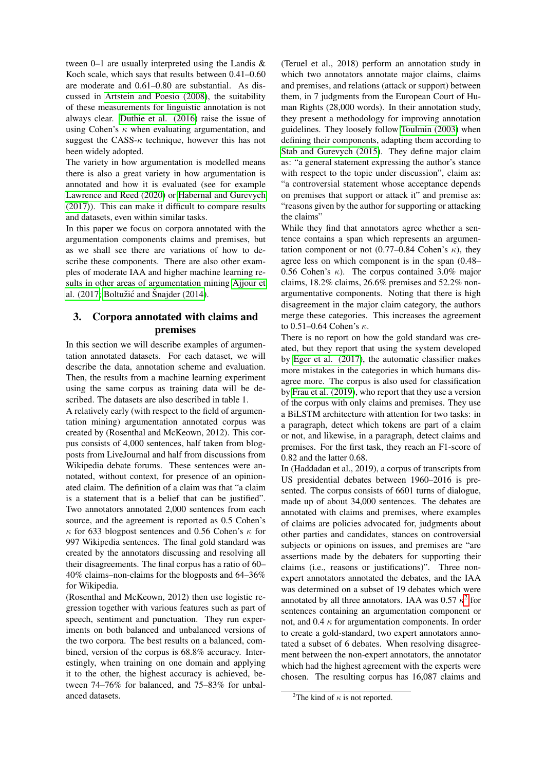tween 0–1 are usually interpreted using the Landis & Koch scale, which says that results between 0.41–0.60 are moderate and 0.61–0.80 are substantial. As discussed in [Artstein and Poesio \(2008\)](#page-3-0), the suitability of these measurements for linguistic annotation is not always clear. [Duthie et al. \(2016\)](#page-3-5) raise the issue of using Cohen's  $\kappa$  when evaluating argumentation, and suggest the CASS- $\kappa$  technique, however this has not been widely adopted.

The variety in how argumentation is modelled means there is also a great variety in how argumentation is annotated and how it is evaluated (see for example [Lawrence and Reed \(2020\)](#page-3-6) or [Habernal and Gurevych](#page-3-1) [\(2017\)](#page-3-1)). This can make it difficult to compare results and datasets, even within similar tasks.

In this paper we focus on corpora annotated with the argumentation components claims and premises, but as we shall see there are variations of how to describe these components. There are also other examples of moderate IAA and higher machine learning results in other areas of argumentation mining [Ajjour et](#page-3-7) [al. \(2017;](#page-3-7) Boltužić and Šnajder (2014).

## 3. Corpora annotated with claims and premises

In this section we will describe examples of argumentation annotated datasets. For each dataset, we will describe the data, annotation scheme and evaluation. Then, the results from a machine learning experiment using the same corpus as training data will be described. The datasets are also described in table 1.

A relatively early (with respect to the field of argumentation mining) argumentation annotated corpus was created by (Rosenthal and McKeown, 2012). This corpus consists of 4,000 sentences, half taken from blogposts from LiveJournal and half from discussions from Wikipedia debate forums. These sentences were annotated, without context, for presence of an opinionated claim. The definition of a claim was that "a claim is a statement that is a belief that can be justified". Two annotators annotated 2,000 sentences from each source, and the agreement is reported as 0.5 Cohen's κ for 633 blogpost sentences and 0.56 Cohen's κ for 997 Wikipedia sentences. The final gold standard was created by the annotators discussing and resolving all their disagreements. The final corpus has a ratio of 60– 40% claims–non-claims for the blogposts and 64–36% for Wikipedia.

(Rosenthal and McKeown, 2012) then use logistic regression together with various features such as part of speech, sentiment and punctuation. They run experiments on both balanced and unbalanced versions of the two corpora. The best results on a balanced, combined, version of the corpus is 68.8% accuracy. Interestingly, when training on one domain and applying it to the other, the highest accuracy is achieved, between 74–76% for balanced, and 75–83% for unbalanced datasets.

(Teruel et al., 2018) perform an annotation study in which two annotators annotate major claims, claims and premises, and relations (attack or support) between them, in 7 judgments from the European Court of Human Rights (28,000 words). In their annotation study, they present a methodology for improving annotation guidelines. They loosely follow [Toulmin \(2003\)](#page-4-3) when defining their components, adapting them according to [Stab and Gurevych \(2015\)](#page-4-4). They define major claim as: "a general statement expressing the author's stance with respect to the topic under discussion", claim as: "a controversial statement whose acceptance depends on premises that support or attack it" and premise as: "reasons given by the author for supporting or attacking the claims"

While they find that annotators agree whether a sentence contains a span which represents an argumentation component or not  $(0.77-0.84 \text{ Cohen's } \kappa)$ , they agree less on which component is in the span (0.48– 0.56 Cohen's  $\kappa$ ). The corpus contained 3.0% major claims, 18.2% claims, 26.6% premises and 52.2% nonargumentative components. Noting that there is high disagreement in the major claim category, the authors merge these categories. This increases the agreement to 0.51–0.64 Cohen's  $κ$ .

There is no report on how the gold standard was created, but they report that using the system developed by [Eger et al. \(2017\)](#page-3-9), the automatic classifier makes more mistakes in the categories in which humans disagree more. The corpus is also used for classification by [Frau et al. \(2019\)](#page-3-10), who report that they use a version of the corpus with only claims and premises. They use a BiLSTM architecture with attention for two tasks: in a paragraph, detect which tokens are part of a claim or not, and likewise, in a paragraph, detect claims and premises. For the first task, they reach an F1-score of 0.82 and the latter 0.68.

In (Haddadan et al., 2019), a corpus of transcripts from US presidential debates between 1960–2016 is presented. The corpus consists of 6601 turns of dialogue, made up of about 34,000 sentences. The debates are annotated with claims and premises, where examples of claims are policies advocated for, judgments about other parties and candidates, stances on controversial subjects or opinions on issues, and premises are "are assertions made by the debaters for supporting their claims (i.e., reasons or justifications)". Three nonexpert annotators annotated the debates, and the IAA was determined on a subset of 19 debates which were annotated by all three annotators. IAA was  $0.57 \kappa^2$  $0.57 \kappa^2$  for sentences containing an argumentation component or not, and 0.4  $\kappa$  for argumentation components. In order to create a gold-standard, two expert annotators annotated a subset of 6 debates. When resolving disagreement between the non-expert annotators, the annotator which had the highest agreement with the experts were chosen. The resulting corpus has 16,087 claims and

<span id="page-1-0"></span><sup>&</sup>lt;sup>2</sup>The kind of  $\kappa$  is not reported.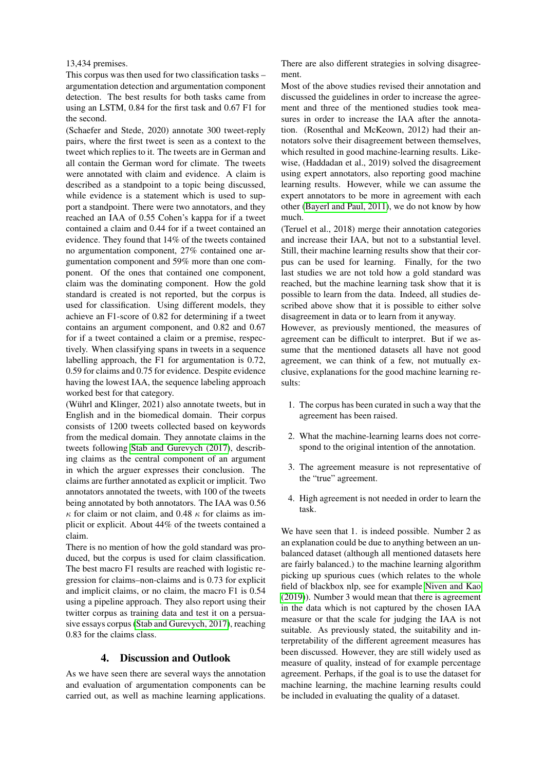### 13,434 premises.

This corpus was then used for two classification tasks – argumentation detection and argumentation component detection. The best results for both tasks came from using an LSTM, 0.84 for the first task and 0.67 F1 for the second.

(Schaefer and Stede, 2020) annotate 300 tweet-reply pairs, where the first tweet is seen as a context to the tweet which replies to it. The tweets are in German and all contain the German word for climate. The tweets were annotated with claim and evidence. A claim is described as a standpoint to a topic being discussed, while evidence is a statement which is used to support a standpoint. There were two annotators, and they reached an IAA of 0.55 Cohen's kappa for if a tweet contained a claim and 0.44 for if a tweet contained an evidence. They found that 14% of the tweets contained no argumentation component, 27% contained one argumentation component and 59% more than one component. Of the ones that contained one component, claim was the dominating component. How the gold standard is created is not reported, but the corpus is used for classification. Using different models, they achieve an F1-score of 0.82 for determining if a tweet contains an argument component, and 0.82 and 0.67 for if a tweet contained a claim or a premise, respectively. When classifying spans in tweets in a sequence labelling approach, the F1 for argumentation is 0.72, 0.59 for claims and 0.75 for evidence. Despite evidence having the lowest IAA, the sequence labeling approach worked best for that category.

(Wührl and Klinger, 2021) also annotate tweets, but in English and in the biomedical domain. Their corpus consists of 1200 tweets collected based on keywords from the medical domain. They annotate claims in the tweets following [Stab and Gurevych \(2017\)](#page-4-1), describing claims as the central component of an argument in which the arguer expresses their conclusion. The claims are further annotated as explicit or implicit. Two annotators annotated the tweets, with 100 of the tweets being annotated by both annotators. The IAA was 0.56  $\kappa$  for claim or not claim, and 0.48  $\kappa$  for claims as implicit or explicit. About 44% of the tweets contained a claim.

There is no mention of how the gold standard was produced, but the corpus is used for claim classification. The best macro F1 results are reached with logistic regression for claims–non-claims and is 0.73 for explicit and implicit claims, or no claim, the macro F1 is 0.54 using a pipeline approach. They also report using their twitter corpus as training data and test it on a persuasive essays corpus [\(Stab and Gurevych, 2017\)](#page-4-1), reaching 0.83 for the claims class.

## 4. Discussion and Outlook

As we have seen there are several ways the annotation and evaluation of argumentation components can be carried out, as well as machine learning applications.

There are also different strategies in solving disagreement.

Most of the above studies revised their annotation and discussed the guidelines in order to increase the agreement and three of the mentioned studies took measures in order to increase the IAA after the annotation. (Rosenthal and McKeown, 2012) had their annotators solve their disagreement between themselves, which resulted in good machine-learning results. Likewise, (Haddadan et al., 2019) solved the disagreement using expert annotators, also reporting good machine learning results. However, while we can assume the expert annotators to be more in agreement with each other [\(Bayerl and Paul, 2011\)](#page-3-11), we do not know by how much.

(Teruel et al., 2018) merge their annotation categories and increase their IAA, but not to a substantial level. Still, their machine learning results show that their corpus can be used for learning. Finally, for the two last studies we are not told how a gold standard was reached, but the machine learning task show that it is possible to learn from the data. Indeed, all studies described above show that it is possible to either solve disagreement in data or to learn from it anyway.

However, as previously mentioned, the measures of agreement can be difficult to interpret. But if we assume that the mentioned datasets all have not good agreement, we can think of a few, not mutually exclusive, explanations for the good machine learning results:

- 1. The corpus has been curated in such a way that the agreement has been raised.
- 2. What the machine-learning learns does not correspond to the original intention of the annotation.
- 3. The agreement measure is not representative of the "true" agreement.
- 4. High agreement is not needed in order to learn the task.

We have seen that 1. is indeed possible. Number 2 as an explanation could be due to anything between an unbalanced dataset (although all mentioned datasets here are fairly balanced.) to the machine learning algorithm picking up spurious cues (which relates to the whole field of blackbox nlp, see for example [Niven and Kao](#page-3-12) [\(2019\)](#page-3-12)). Number 3 would mean that there is agreement in the data which is not captured by the chosen IAA measure or that the scale for judging the IAA is not suitable. As previously stated, the suitability and interpretability of the different agreement measures has been discussed. However, they are still widely used as measure of quality, instead of for example percentage agreement. Perhaps, if the goal is to use the dataset for machine learning, the machine learning results could be included in evaluating the quality of a dataset.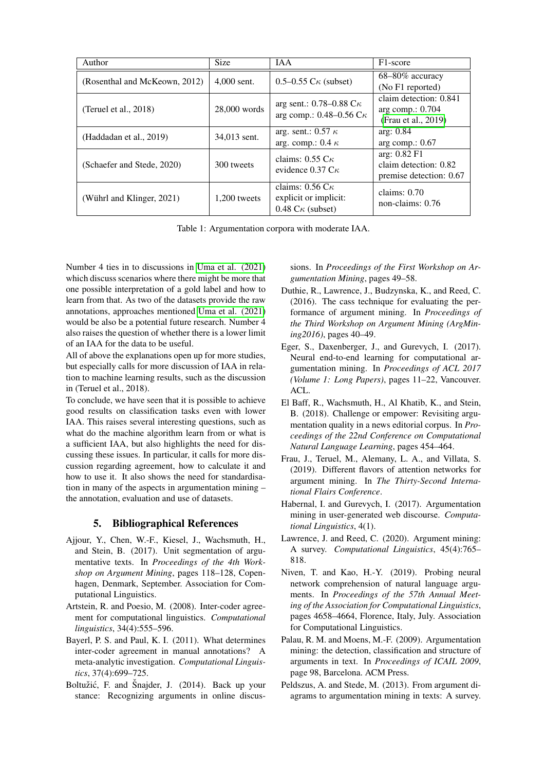| Author                        | <b>Size</b>    | <b>IAA</b>                                                                                 | F <sub>1</sub> -score                                             |
|-------------------------------|----------------|--------------------------------------------------------------------------------------------|-------------------------------------------------------------------|
| (Rosenthal and McKeown, 2012) | $4,000$ sent.  | 0.5–0.55 $C_{\kappa}$ (subset)                                                             | $68 - 80\%$ accuracy<br>(No F1 reported)                          |
| (Teruel et al., $2018$ )      | 28,000 words   | arg sent.: $0.78-0.88 \text{ C}\kappa$<br>arg comp.: $0.48 - 0.56$ C $\kappa$              | claim detection: 0.841<br>arg comp.: 0.704<br>(Frau et al., 2019) |
| (Haddadan et al., 2019)       | 34,013 sent.   | arg. sent.: $0.57 \kappa$<br>arg. comp.: 0.4 $\kappa$                                      | arg: $0.84$<br>arg comp.: $0.67$                                  |
| (Schaefer and Stede, 2020)    | 300 tweets     | claims: $0.55 \text{ C}\kappa$<br>evidence $0.37 \text{ C}\kappa$                          | arg: 0.82 F1<br>claim detection: 0.82<br>premise detection: 0.67  |
| (Wührl and Klinger, 2021)     | $1,200$ tweets | claims: $0.56 \text{ C}\kappa$<br>explicit or implicit:<br>$0.48 \text{ C}\kappa$ (subset) | claims: $0.70$<br>non-claims: $0.76$                              |

Table 1: Argumentation corpora with moderate IAA.

Number 4 ties in to discussions in [Uma et al. \(2021\)](#page-4-5) which discuss scenarios where there might be more that one possible interpretation of a gold label and how to learn from that. As two of the datasets provide the raw annotations, approaches mentioned [Uma et al. \(2021\)](#page-4-5) would be also be a potential future research. Number 4 also raises the question of whether there is a lower limit of an IAA for the data to be useful.

All of above the explanations open up for more studies, but especially calls for more discussion of IAA in relation to machine learning results, such as the discussion in (Teruel et al., 2018).

To conclude, we have seen that it is possible to achieve good results on classification tasks even with lower IAA. This raises several interesting questions, such as what do the machine algorithm learn from or what is a sufficient IAA, but also highlights the need for discussing these issues. In particular, it calls for more discussion regarding agreement, how to calculate it and how to use it. It also shows the need for standardisation in many of the aspects in argumentation mining – the annotation, evaluation and use of datasets.

### 5. Bibliographical References

- <span id="page-3-7"></span>Ajjour, Y., Chen, W.-F., Kiesel, J., Wachsmuth, H., and Stein, B. (2017). Unit segmentation of argumentative texts. In *Proceedings of the 4th Workshop on Argument Mining*, pages 118–128, Copenhagen, Denmark, September. Association for Computational Linguistics.
- <span id="page-3-0"></span>Artstein, R. and Poesio, M. (2008). Inter-coder agreement for computational linguistics. *Computational linguistics*, 34(4):555–596.
- <span id="page-3-11"></span>Bayerl, P. S. and Paul, K. I. (2011). What determines inter-coder agreement in manual annotations? A meta-analytic investigation. *Computational Linguistics*, 37(4):699–725.
- <span id="page-3-8"></span>Boltužić, F. and Šnajder, J. (2014). Back up your stance: Recognizing arguments in online discus-

sions. In *Proceedings of the First Workshop on Argumentation Mining*, pages 49–58.

- <span id="page-3-5"></span>Duthie, R., Lawrence, J., Budzynska, K., and Reed, C. (2016). The cass technique for evaluating the performance of argument mining. In *Proceedings of the Third Workshop on Argument Mining (ArgMining2016)*, pages 40–49.
- <span id="page-3-9"></span>Eger, S., Daxenberger, J., and Gurevych, I. (2017). Neural end-to-end learning for computational argumentation mining. In *Proceedings of ACL 2017 (Volume 1: Long Papers)*, pages 11–22, Vancouver. ACL.
- <span id="page-3-4"></span>El Baff, R., Wachsmuth, H., Al Khatib, K., and Stein, B. (2018). Challenge or empower: Revisiting argumentation quality in a news editorial corpus. In *Proceedings of the 22nd Conference on Computational Natural Language Learning*, pages 454–464.
- <span id="page-3-10"></span>Frau, J., Teruel, M., Alemany, L. A., and Villata, S. (2019). Different flavors of attention networks for argument mining. In *The Thirty-Second International Flairs Conference*.
- <span id="page-3-1"></span>Habernal, I. and Gurevych, I. (2017). Argumentation mining in user-generated web discourse. *Computational Linguistics*, 4(1).
- <span id="page-3-6"></span>Lawrence, J. and Reed, C. (2020). Argument mining: A survey. *Computational Linguistics*, 45(4):765– 818.
- <span id="page-3-12"></span>Niven, T. and Kao, H.-Y. (2019). Probing neural network comprehension of natural language arguments. In *Proceedings of the 57th Annual Meeting of the Association for Computational Linguistics*, pages 4658–4664, Florence, Italy, July. Association for Computational Linguistics.
- <span id="page-3-2"></span>Palau, R. M. and Moens, M.-F. (2009). Argumentation mining: the detection, classification and structure of arguments in text. In *Proceedings of ICAIL 2009*, page 98, Barcelona. ACM Press.
- <span id="page-3-3"></span>Peldszus, A. and Stede, M. (2013). From argument diagrams to argumentation mining in texts: A survey.